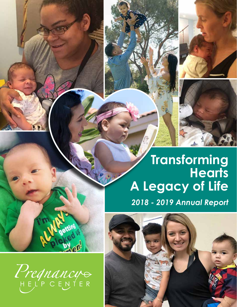

*2018 - 2019 Annual Report*



**SPh** 

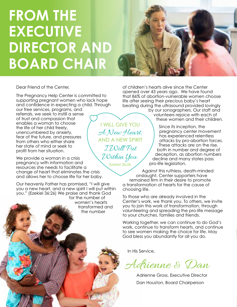# **FROM THE EXECUTIVE DIRECTOR AND BOARD CHAIR**



Dear Friend of the Center,

The Pregnancy Help Center is committed to supporting pregnant women who lack hope and confidence in expecting a child. Through

our free services, programs, and referrals, we seek to instill a sense of trust and compassion that enables a woman to choose the life of her child freely, unencumbered by anxiety, fear of the future, and pressures from others who either share her state of mind or seek to profit from her situation.

We provide a woman in a crisis pregnancy with information and resources she needs to facilitate a change of heart that eliminates the crisis and allows her to choose life for her baby.

Our heavenly Father has promised, "I will give you a new heart, and a new spirit I will put within you." (Ezekiel 36:26) We praise and thank God for the number of women's hearts transformed and the number

of children's hearts alive since the Center opened over 43 years ago. We have found that 86% of abortion-vulnerable women choose life after seeing their precious baby's heart beating during the ultrasound provided lovingly

by our sonographers. Our staff and volunteers rejoice with each of these women and their children.

Since its inception, the pregnancy center movement has experienced relentless attacks by pro-abortion forces. These attacks are on the rise, both in number and degree of deception, as abortion numbers decline and many states pass pro-life legislation.

Against this ruthless, death-minded onslaught, Center supporters have remained firm in their desire to promote a transformation of hearts for the cause of choosing life.

To those who are already involved in the Center's work, we thank you. To others, we invite you to join this work of transformation, through volunteering and spreading the pro-life message to your churches, families and friends.

Working together, we can continue to do God's work, continue to transform hearts, and continue to see women making the choice for life. May God bless you abundantly for all you do.

In His Service,

Adrienne & Dan

Adrienne Gross, Executive Director Dan Houston, Board Chairperson

I WILL GIVE YOU A New Heart, AND A NEW SPIRIT I Will Put Within You. *Ezekiel 36:26*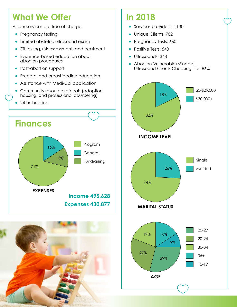### **What We Offer**

All our services are free of charge:

- **•** Pregnancy testing
- **•** Limited obstetric ultrasound exam
- **•** STI testing, risk assessment, and treatment
- **•** Evidence-based education about abortion procedures
- **•** Post-abortion support
- **•** Prenatal and breastfeeding education
- **•** Assistance with Medi-Cal application
- **•** Community resource referrals (adoption, housing, and professional counseling)
- **•** 24-hr. helpline





### **In 2018**

• Services provided: 1,130

16%

- Unique Clients: 702
- **•** Pregnancy Tests: 660
- Positive Tests: 543
- Ultrasounds: 348
- **•** Abortion-Vulnerable/Minded Ultrasound Clients Choosing Life: 86%

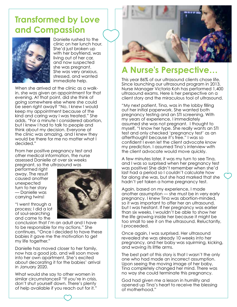#### **Transformed by Love and Compassion**



Danielle rushed to the clinic on her lunch hour. She'd just broken up with her boyfriend, was living out of her car, and now suspected she was pregnant. She was very anxious, stressed, and wanted immediate help.

When she arrived at the clinic as a walkin, she was given an appointment for that evening. At that point, did she think of going somewhere else where she could be seen right away? "No, I knew I would keep my appointment because of the kind and caring way I was treated." She adds, "For a minute I considered abortion, but I knew I had to talk to people and think about my decision. Everyone at the clinic was amazing, and I knew they would be there for me no matter what I decided."

From her positive pregnancy test and other medical information, the nurse assessed Danielle at over six weeks pregnant, so the ultrasound was

performed right away. The result caused another unexpected turn to her story — Danielle was carrying twins!

"I went through a

process; I did a lot of soul-searching and came to the conclusion that I'm an adult and I have to be responsible for my actions." She

continues, "Once I decided to have these babies it gave me the motivation to get my life together."

Danielle has moved closer to her family, now has a good job, and will soon move into her own apartment. She's excited about decorating it for the babies' arrival in January 2020.

What would she say to other women in similar circumstances? "If you're in crisis, don't shut yourself down. There's plenty of help available if you reach out for it."



### **A Nurse's Perspective…**

This year 86% of our ultrasound clients chose life. Since launching our ultrasound program in 2013, Nurse Manager Victoria Koh has performed 1,400 ultrasound exams. Here is her perspective on a client story and the miraculous tool of ultrasound.

"My next patient, Tina, was in the lobby filling out her initial paperwork. She wanted both pregnancy testing and an STI screening. With my years of experience, I immediately assumed she was not pregnant. I thought to myself, "I know her type. She really wants an STI test and only checked 'pregnancy test' as an afterthought because it's free." I was so confident I even let the client advocate know my prediction. I assumed Tina's interview with the client advocate would move quickly.

A few minutes later, it was my turn to see Tina, and I was so surprised when her pregnancy test was positive! She didn't remember when she'd last had a period so I couldn't calculate how far along she was, but she had marked that she hadn't yet taken a home pregnancy test.

Again, based on my experience, I made another assumption — she must be in very early pregnancy. I knew Tina was abortion-minded, so it was important to offer her an ultrasound, but I was hesitant. If her pregnancy was earlier than six weeks, I wouldn't be able to show her the life growing inside her because it might be too small to see it on the ultrasound. Reluctantly, I proceeded.

Once again, I was surprised. Her ultrasound revealed she was already 10 weeks into her pregnancy, and her baby was squirming, kicking, and waving its little arms.

The best part of this story is that I wasn't the only one who had made an incorrect assumption. Upon seeing the moving image of her baby, Tina completely changed her mind. There was no way she could terminate this pregnancy.

God had given me a lesson in humility and opened up Tina's heart to receive the blessing of motherhood."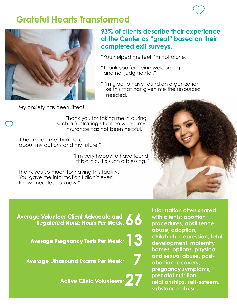#### **Grateful Hearts Transformed**



#### **93% of clients describe their experience at the Center as "great" based on their completed exit surveys.**

"You helped me feel I'm not alone."

"Thank you for being welcoming and not judgmental."

"I'm glad to have found an organization like this that has given me the resources I needed."

"My anxiety has been lifted!"

"Thank you for taking me in during such a frustrating situation where my insurance has not been helpful."

"It has made me think hard about my options and my future."

> "I'm very happy to have found this clinic, it's such a blessing."

"Thank you so much for having this facility. You gave me information I didn't even know I needed to know."

**Average Volunteer Client Advocate and Registered Nurse Hours Per Week: 00** 

**Average Pregnancy Tests Per Week:** 

**Average Ultrasound Exams Per Week: 7**

**Active Clinic Volunteers:** 

**Information often shared with clients: abortion procedures, abstinence, abuse, adoption, childbirth, depression, fetal development, maternity homes, options, physical and sexual abuse, postabortion recovery, pregnancy symptoms, prenatal nutrition, relationships, self-esteem, substance abuse.**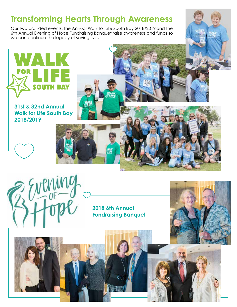### **Transforming Hearts Through Awareness**

Our two branded events, the Annual Walk for Life South Bay 2018/2019 and the 6th Annual Evening of Hope Fundraising Banquet raise awareness and funds so we can continue the legacy of saving lives.

**Walk for Life South Bay 2018/2019**

**31st & 32nd Annual** 



**2018 6th Annual Fundraising Banquet**

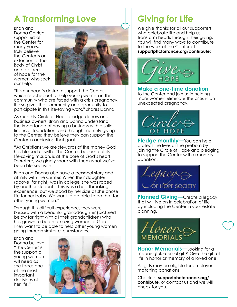### **A Transforming Love**

Brian and Donna Carrico, supporters of the Center for many years, truly believe the Center is an extension of the Body of Christ and a place of hope for the women who seek our help.



"It's our heart's desire to support the Center, which reaches out to help young women in this community who are faced with a crisis pregnancy. It also gives the community an opportunity to participate in this life-saving work," shares Donna.

As monthly Circle of Hope pledge donors and business owners, Brian and Donna understand the importance of having a business with a solid financial foundation, and through monthly giving to the Center, they believe they can support the Center in achieving that goal.

"As Christians we are stewards of the money God has blessed us with. The Center, because of its life-saving mission, is at the core of God's heart. Therefore, we gladly share with them what we've been blessed with."

Brian and Donna also have a personal story and affinity with the Center. When their daughter (above, far right) was in college, she was raped by another student. "This was a heartbreaking experience, but we stood by her side as she chose life for her baby. We want to be able to do that for other young women."

Through this difficult experience, they were blessed with a beautiful granddaughter (pictured below far right with all their grandchildren) who has grown to be an amazing woman of God. They want to be able to help other young women going through similar circumstances.

Brian and Donna believe "The Center is the support a young woman will need as she faces one of the most important decisions of her life."



## **Giving for Life**

We give thanks for all our supporters who celebrate life and help us transform hearts through their giving. You will find many ways to contribute to the work of the Center at **supportphctorrance.org/contribute:**



**Make a one-time donation** to the Center and join us in helping more women eliminate the crisis in an unexpected pregnancy.



**Pledge monthly—You can help** protect the lives of the preborn by joining the Circle of Hope and pledging to support the Center with a monthly donation.



**Planned Giving—**Create a legacy that will live on in celebration of life by including the Center in your estate planning.



**Honor Memorials—**Looking for a meaningful, eternal gift? Give the gift of life in honor or memory of a loved one.

All gifts may be eligible for employer matching donations.

Check at **supportphctorrance.org/ contribute**, or contact us and we will check for you.